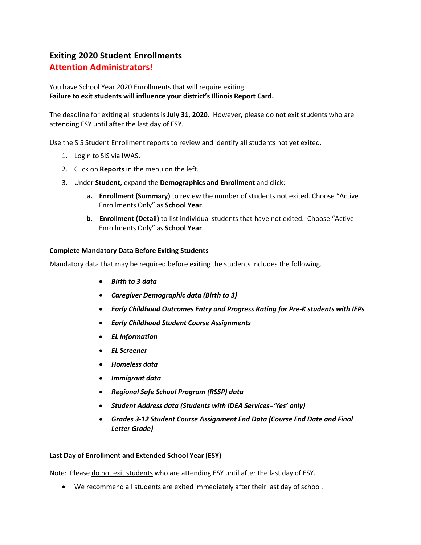# **Exiting 2020 Student Enrollments Attention Administrators!**

You have School Year 2020 Enrollments that will require exiting. **Failure to exit students will influence your district's Illinois Report Card.**

The deadline for exiting all students is **July 31, 2020.** However**,** please do not exit students who are attending ESY until after the last day of ESY.

Use the SIS Student Enrollment reports to review and identify all students not yet exited.

- 1. Login to SIS via IWAS.
- 2. Click on **Reports** in the menu on the left.
- 3. Under **Student,** expand the **Demographics and Enrollment** and click:
	- **a. Enrollment (Summary)** to review the number of students not exited. Choose "Active Enrollments Only" as **School Year**.
	- **b. Enrollment (Detail)** to list individual students that have not exited. Choose "Active Enrollments Only" as **School Year**.

### **Complete Mandatory Data Before Exiting Students**

Mandatory data that may be required before exiting the students includes the following.

- *Birth to 3 data*
- *Caregiver Demographic data (Birth to 3)*
- *Early Childhood Outcomes Entry and Progress Rating for Pre-K students with IEPs*
- *Early Childhood Student Course Assignments*
- *EL Information*
- *EL Screener*
- *Homeless data*
- *Immigrant data*
- *Regional Safe School Program (RSSP) data*
- *Student Address data (Students with IDEA Services='Yes' only)*
- *Grades 3-12 Student Course Assignment End Data (Course End Date and Final Letter Grade)*

### **Last Day of Enrollment and Extended School Year (ESY)**

Note: Please do not exit students who are attending ESY until after the last day of ESY.

• We recommend all students are exited immediately after their last day of school.